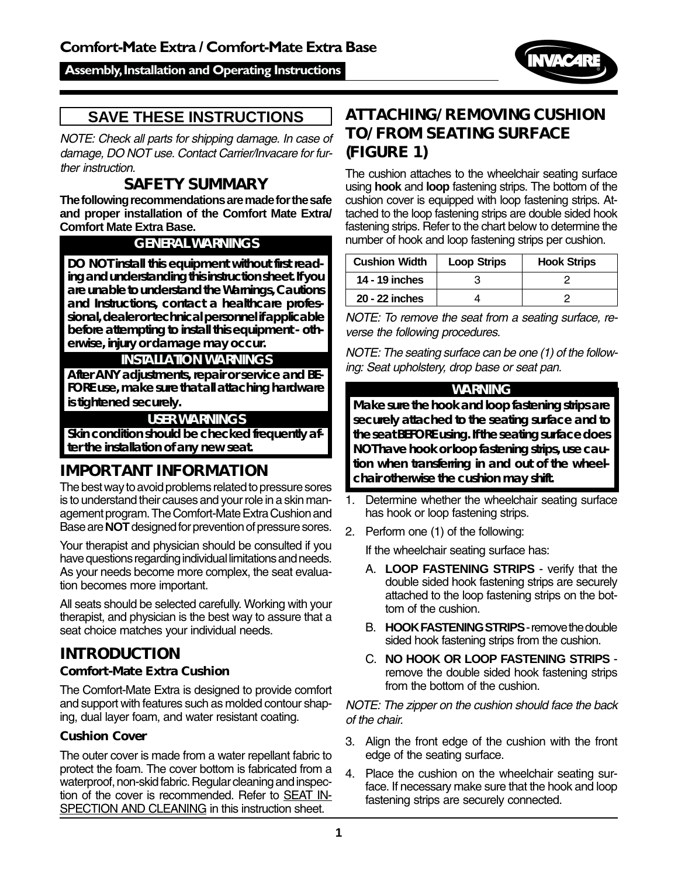## Assembly, Installation and Operating Instructions



# **SAVE THESE INSTRUCTIONS**

NOTE: Check all parts for shipping damage. In case of damage, DO NOT use. Contact Carrier/Invacare for further instruction.

# **SAFETY SUMMARY**

**The following recommendations are made for the safe and proper installation of the Comfort Mate Extra/ Comfort Mate Extra Base.**

## **GENERAL WARNINGS**

**DO NOT install this equipment without first reading and understanding this instruction sheet. If you are unable to understand the Warnings, Cautions and Instructions, contact a healthcare professional, dealer or technical personnel if applicable before attempting to install this equipment - otherwise, injury or damage may occur.**

## **INSTALLATION WARNINGS**

**After ANY adjustments, repair or service and BE-FORE use, make sure that all attaching hardware is tightened securely.**

#### **USER WARNINGS**

**Skin condition should be checked frequently after the installation of any new seat.**

# **IMPORTANT INFORMATION**

The best way to avoid problems related to pressure sores is to understand their causes and your role in a skin management program. The Comfort-Mate Extra Cushion and Base are **NOT** designed for prevention of pressure sores.

Your therapist and physician should be consulted if you have questions regarding individual limitations and needs. As your needs become more complex, the seat evaluation becomes more important.

All seats should be selected carefully. Working with your therapist, and physician is the best way to assure that a seat choice matches your individual needs.

#### **INTRODUCTION Comfort-Mate Extra Cushion**

The Comfort-Mate Extra is designed to provide comfort and support with features such as molded contour shaping, dual layer foam, and water resistant coating.

## **Cushion Cover**

The outer cover is made from a water repellant fabric to protect the foam. The cover bottom is fabricated from a waterproof, non-skid fabric. Regular cleaning and inspection of the cover is recommended. Refer to SEAT IN-SPECTION AND CLEANING in this instruction sheet.

# **ATTACHING/REMOVING CUSHION TO/FROM SEATING SURFACE (FIGURE 1)**

The cushion attaches to the wheelchair seating surface using **hook** and **loop** fastening strips. The bottom of the cushion cover is equipped with loop fastening strips. Attached to the loop fastening strips are double sided hook fastening strips. Refer to the chart below to determine the number of hook and loop fastening strips per cushion.

| <b>Cushion Width</b> | <b>Loop Strips</b> | <b>Hook Strips</b> |
|----------------------|--------------------|--------------------|
| 14 - 19 inches       |                    |                    |
| 20 - 22 inches       |                    |                    |

NOTE: To remove the seat from a seating surface, reverse the following procedures.

NOTE: The seating surface can be one (1) of the following: Seat upholstery, drop base or seat pan.

#### **WARNING**

**Make sure the hook and loop fastening strips are securely attached to the seating surface and to the seat BEFORE using. If the seating surface does NOT have hook or loop fastening strips, use caution when transferring in and out of the wheelchair otherwise the cushion may shift.**

- 1. Determine whether the wheelchair seating surface has hook or loop fastening strips.
- 2. Perform one (1) of the following:

If the wheelchair seating surface has:

- A. **LOOP FASTENING STRIPS** verify that the double sided hook fastening strips are securely attached to the loop fastening strips on the bottom of the cushion.
- B. **HOOK FASTENING STRIPS** remove the double sided hook fastening strips from the cushion.
- C. **NO HOOK OR LOOP FASTENING STRIPS** remove the double sided hook fastening strips from the bottom of the cushion.

NOTE: The zipper on the cushion should face the back of the chair.

- 3. Align the front edge of the cushion with the front edge of the seating surface.
- 4. Place the cushion on the wheelchair seating surface. If necessary make sure that the hook and loop fastening strips are securely connected.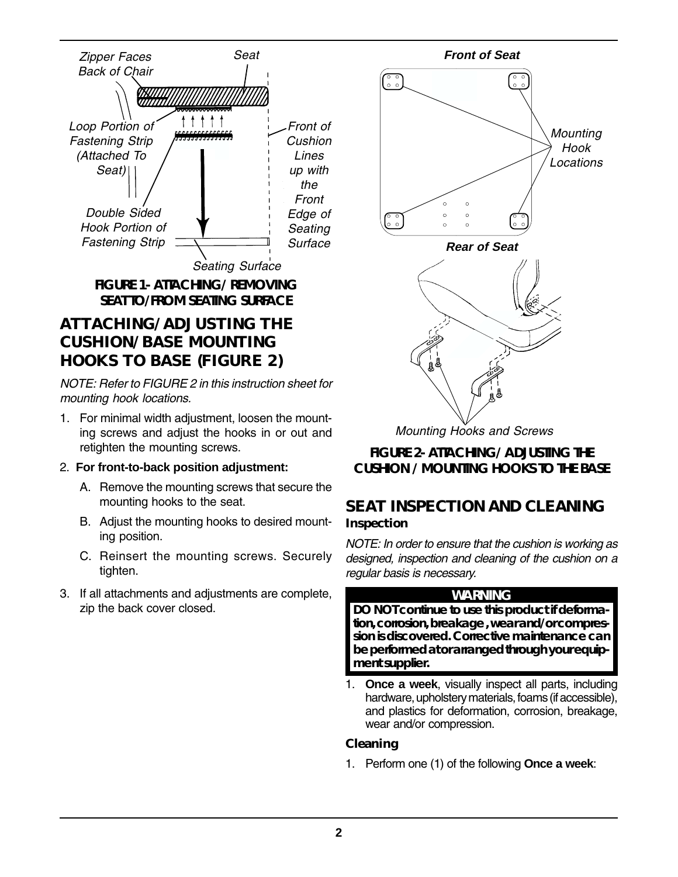

**FIGURE 1- ATTACHING/ REMOVING SEAT TO/FROM SEATING SURFACE**

# **ATTACHING/ADJUSTING THE CUSHION/BASE MOUNTING HOOKS TO BASE (FIGURE 2)**

NOTE: Refer to FIGURE 2 in this instruction sheet for mounting hook locations.

- 1. For minimal width adjustment, loosen the mounting screws and adjust the hooks in or out and retighten the mounting screws.
- 2. **For front-to-back position adjustment:**
	- A. Remove the mounting screws that secure the mounting hooks to the seat.
	- B. Adjust the mounting hooks to desired mounting position.
	- C. Reinsert the mounting screws. Securely tighten.
- 3. If all attachments and adjustments are complete, zip the back cover closed.



Mounting Hooks and Screws

**FIGURE 2- ATTACHING/ ADJUSTING THE CUSHION / MOUNTING HOOKS TO THE BASE**

# **SEAT INSPECTION AND CLEANING**

## **Inspection**

NOTE: In order to ensure that the cushion is working as designed, inspection and cleaning of the cushion on a regular basis is necessary.

## **WARNING**

**DO NOT continue to use this product if deformation, corrosion, breakage , wear and/or compression is discovered. Corrective maintenance can be performed at or arranged through your equipment supplier.**

1. **Once a week**, visually inspect all parts, including hardware, upholstery materials, foams (if accessible), and plastics for deformation, corrosion, breakage, wear and/or compression.

## **Cleaning**

1. Perform one (1) of the following **Once a week**: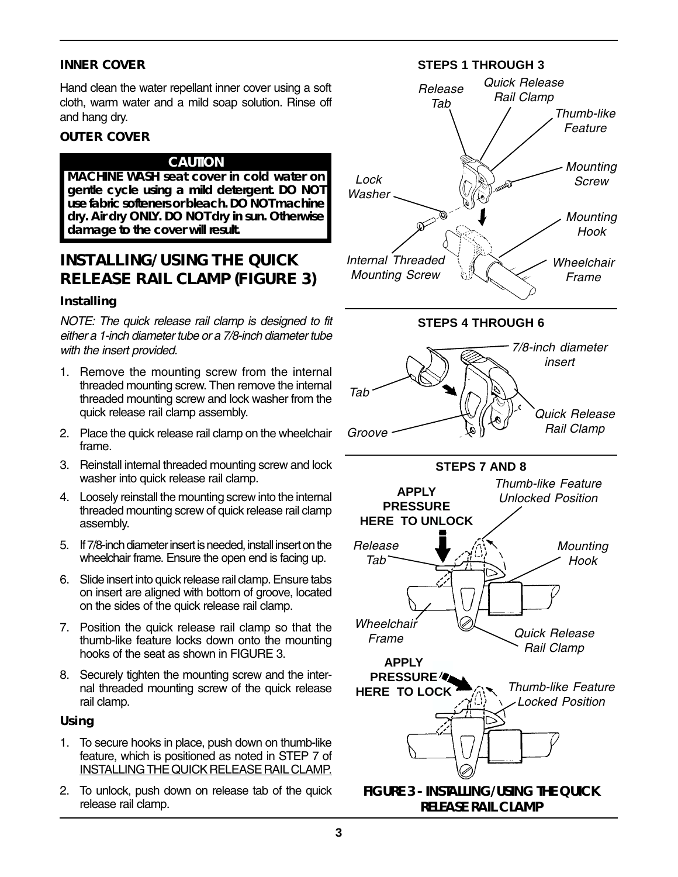#### **INNER COVER**

Hand clean the water repellant inner cover using a soft cloth, warm water and a mild soap solution. Rinse off and hang dry.

#### **OUTER COVER**

#### **CAUTION**

**MACHINE WASH seat cover in cold water on gentle cycle using a mild detergent. DO NOT use fabric softeners or bleach. DO NOT machine dry. Air dry ONLY. DO NOT dry in sun. Otherwise damage to the cover will result.**

# **INSTALLING/USING THE QUICK RELEASE RAIL CLAMP (FIGURE 3)**

#### **Installing**

NOTE: The quick release rail clamp is designed to fit either a 1-inch diameter tube or a 7/8-inch diameter tube with the insert provided.

- 1. Remove the mounting screw from the internal threaded mounting screw. Then remove the internal threaded mounting screw and lock washer from the quick release rail clamp assembly.
- 2. Place the quick release rail clamp on the wheelchair frame.
- 3. Reinstall internal threaded mounting screw and lock washer into quick release rail clamp.
- 4. Loosely reinstall the mounting screw into the internal threaded mounting screw of quick release rail clamp assembly.
- 5. If 7/8-inch diameter insert is needed, install insert on the wheelchair frame. Ensure the open end is facing up.
- 6. Slide insert into quick release rail clamp. Ensure tabs on insert are aligned with bottom of groove, located on the sides of the quick release rail clamp.
- 7. Position the quick release rail clamp so that the thumb-like feature locks down onto the mounting hooks of the seat as shown in FIGURE 3.
- 8. Securely tighten the mounting screw and the internal threaded mounting screw of the quick release rail clamp.

#### **Using**

- 1. To secure hooks in place, push down on thumb-like feature, which is positioned as noted in STEP 7 of INSTALLING THE QUICK RELEASE RAIL CLAMP.
- 2. To unlock, push down on release tab of the quick release rail clamp.





**STEPS 4 THROUGH 6**



**STEPS 7 AND 8**